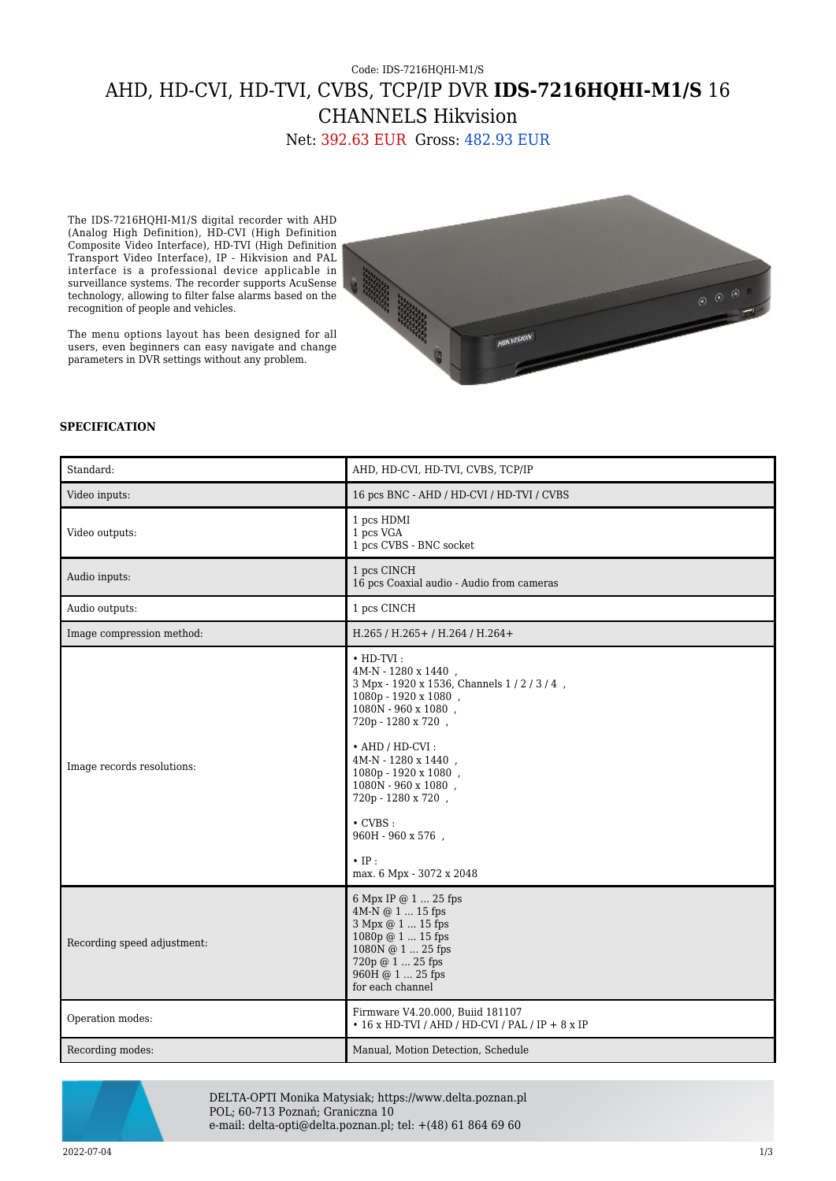## Code: IDS-7216HQHI-M1/S AHD, HD-CVI, HD-TVI, CVBS, TCP/IP DVR **IDS-7216HQHI-M1/S** 16 CHANNELS Hikvision

Net: 392.63 EUR Gross: 482.93 EUR

The IDS-7216HQHI-M1/S digital recorder with AHD (Analog High Definition), HD-CVI (High Definition Composite Video Interface), HD-TVI (High Definition Transport Video Interface), IP - Hikvision and PAL interface is a professional device applicable in surveillance systems. The recorder supports AcuSense technology, allowing to filter false alarms based on the recognition of people and vehicles.

The menu options layout has been designed for all users, even beginners can easy navigate and change parameters in DVR settings without any problem.



## **SPECIFICATION**

| Standard:                   | AHD, HD-CVI, HD-TVI, CVBS, TCP/IP                                                                                                                                                                                                                                                                                                                                                          |
|-----------------------------|--------------------------------------------------------------------------------------------------------------------------------------------------------------------------------------------------------------------------------------------------------------------------------------------------------------------------------------------------------------------------------------------|
| Video inputs:               | 16 pcs BNC - AHD / HD-CVI / HD-TVI / CVBS                                                                                                                                                                                                                                                                                                                                                  |
| Video outputs:              | 1 pcs HDMI<br>1 pcs VGA<br>1 pcs CVBS - BNC socket                                                                                                                                                                                                                                                                                                                                         |
| Audio inputs:               | 1 pcs CINCH<br>16 pcs Coaxial audio - Audio from cameras                                                                                                                                                                                                                                                                                                                                   |
| Audio outputs:              | 1 pcs CINCH                                                                                                                                                                                                                                                                                                                                                                                |
| Image compression method:   | H.265 / H.265 + / H.264 / H.264 +                                                                                                                                                                                                                                                                                                                                                          |
| Image records resolutions:  | $\cdot$ HD-TVI:<br>$4M-N - 1280 \times 1440$ ,<br>3 Mpx - 1920 x 1536, Channels 1 / 2 / 3 / 4,<br>1080p - 1920 x 1080,<br>1080N - 960 x 1080.<br>720p - 1280 x 720,<br>$\bullet$ AHD / HD-CVI :<br>4M-N - 1280 x 1440,<br>1080p - 1920 x 1080,<br>$1080\rm{N}$ - $960$ x $1080$ ,<br>720p - 1280 x 720,<br>$\cdot$ CVBS :<br>960H - 960 x 576,<br>$\cdot$ IP :<br>max. 6 Mpx - 3072 x 2048 |
| Recording speed adjustment: | 6 Mpx IP @ 1  25 fps<br>4M-N @ 1  15 fps<br>3 Mpx @ 1  15 fps<br>1080p @ 1  15 fps<br>1080N @ 1  25 fps<br>720p @ 1  25 fps<br>960H @ 1  25 fps<br>for each channel                                                                                                                                                                                                                        |
| Operation modes:            | Firmware V4.20.000, Buiid 181107<br>$\cdot$ 16 x HD-TVI / AHD / HD-CVI / PAL / IP + 8 x IP                                                                                                                                                                                                                                                                                                 |
| Recording modes:            | Manual, Motion Detection, Schedule                                                                                                                                                                                                                                                                                                                                                         |



DELTA-OPTI Monika Matysiak; https://www.delta.poznan.pl POL; 60-713 Poznań; Graniczna 10 e-mail: delta-opti@delta.poznan.pl; tel: +(48) 61 864 69 60

2022-07-04 1/3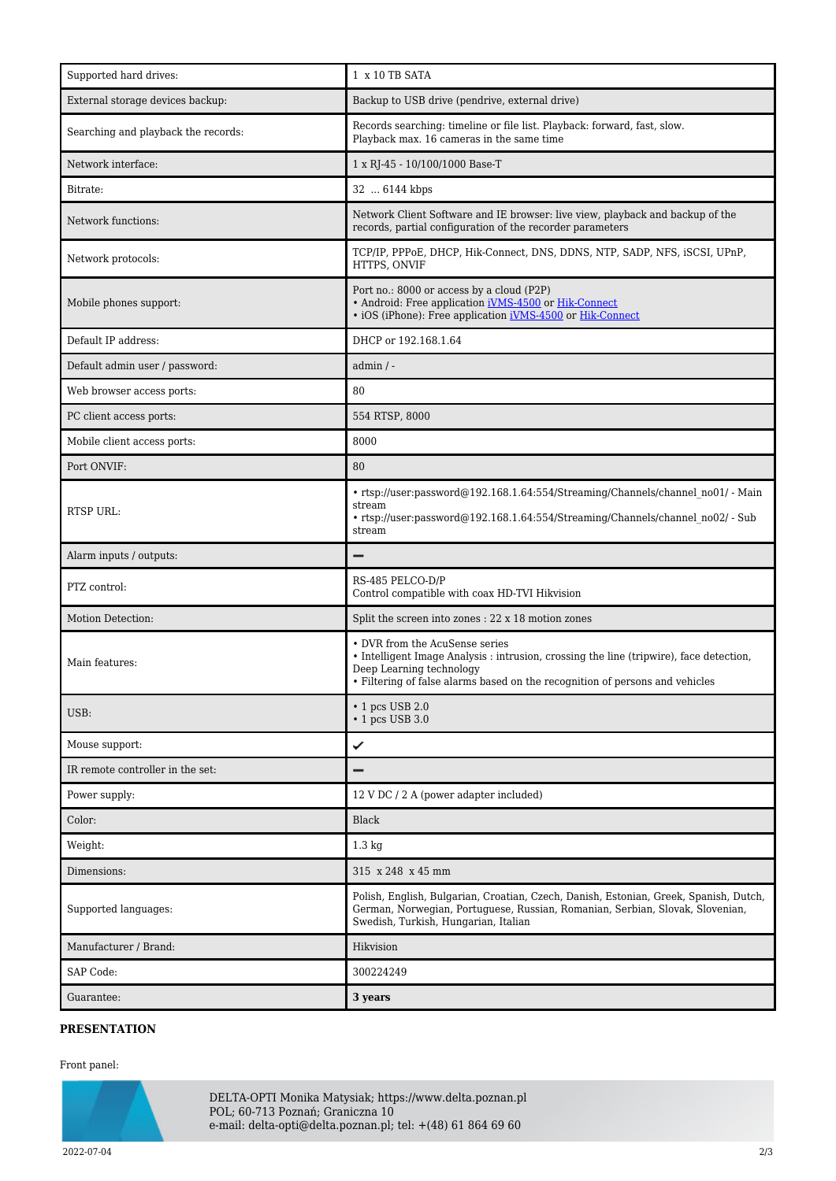| Supported hard drives:              | 1 x 10 TB SATA                                                                                                                                                                                                                        |
|-------------------------------------|---------------------------------------------------------------------------------------------------------------------------------------------------------------------------------------------------------------------------------------|
| External storage devices backup:    | Backup to USB drive (pendrive, external drive)                                                                                                                                                                                        |
| Searching and playback the records: | Records searching: timeline or file list. Playback: forward, fast, slow.<br>Playback max. 16 cameras in the same time                                                                                                                 |
| Network interface:                  | 1 x RJ-45 - 10/100/1000 Base-T                                                                                                                                                                                                        |
| Bitrate:                            | 32  6144 kbps                                                                                                                                                                                                                         |
| Network functions:                  | Network Client Software and IE browser: live view, playback and backup of the<br>records, partial configuration of the recorder parameters                                                                                            |
| Network protocols:                  | TCP/IP, PPPoE, DHCP, Hik-Connect, DNS, DDNS, NTP, SADP, NFS, iSCSI, UPnP,<br>HTTPS, ONVIF                                                                                                                                             |
| Mobile phones support:              | Port no.: 8000 or access by a cloud (P2P)<br>• Android: Free application iVMS-4500 or Hik-Connect<br>• iOS (iPhone): Free application iVMS-4500 or Hik-Connect                                                                        |
| Default IP address:                 | DHCP or 192.168.1.64                                                                                                                                                                                                                  |
| Default admin user / password:      | $admin / -$                                                                                                                                                                                                                           |
| Web browser access ports:           | 80                                                                                                                                                                                                                                    |
| PC client access ports:             | 554 RTSP, 8000                                                                                                                                                                                                                        |
| Mobile client access ports:         | 8000                                                                                                                                                                                                                                  |
| Port ONVIF:                         | 80                                                                                                                                                                                                                                    |
| RTSP URL:                           | • rtsp://user:password@192.168.1.64:554/Streaming/Channels/channel no01/ - Main<br>stream<br>• rtsp://user:password@192.168.1.64:554/Streaming/Channels/channel no02/ - Sub<br>stream                                                 |
| Alarm inputs / outputs:             |                                                                                                                                                                                                                                       |
|                                     |                                                                                                                                                                                                                                       |
| PTZ control:                        | RS-485 PELCO-D/P<br>Control compatible with coax HD-TVI Hikvision                                                                                                                                                                     |
| Motion Detection:                   | Split the screen into zones : 22 x 18 motion zones                                                                                                                                                                                    |
| Main features:                      | • DVR from the AcuSense series<br>• Intelligent Image Analysis : intrusion, crossing the line (tripwire), face detection,<br>Deep Learning technology<br>• Filtering of false alarms based on the recognition of persons and vehicles |
| USB:                                | $\cdot$ 1 pcs USB 2.0<br>$\cdot$ 1 pcs USB 3.0                                                                                                                                                                                        |
| Mouse support:                      | ✓                                                                                                                                                                                                                                     |
| IR remote controller in the set:    |                                                                                                                                                                                                                                       |
| Power supply:                       | 12 V DC / 2 A (power adapter included)                                                                                                                                                                                                |
| Color:                              | Black                                                                                                                                                                                                                                 |
| Weight:                             | $1.3 \text{ kg}$                                                                                                                                                                                                                      |
| Dimensions:                         | 315 x 248 x 45 mm                                                                                                                                                                                                                     |
| Supported languages:                | Polish, English, Bulgarian, Croatian, Czech, Danish, Estonian, Greek, Spanish, Dutch,<br>German, Norwegian, Portuguese, Russian, Romanian, Serbian, Slovak, Slovenian,<br>Swedish, Turkish, Hungarian, Italian                        |
| Manufacturer / Brand:               | Hikvision                                                                                                                                                                                                                             |
| SAP Code:                           | 300224249                                                                                                                                                                                                                             |

## **PRESENTATION**

## Front panel:



DELTA-OPTI Monika Matysiak; https://www.delta.poznan.pl POL; 60-713 Poznań; Graniczna 10 e-mail: delta-opti@delta.poznan.pl; tel: +(48) 61 864 69 60